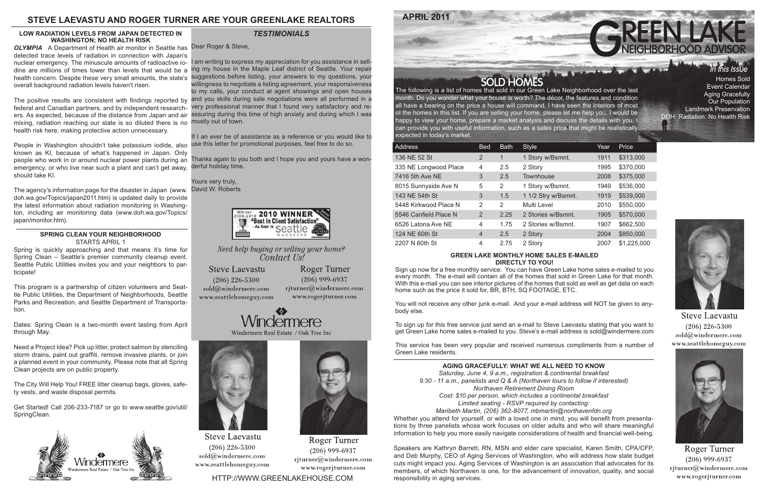month. Do you wonder what your house is worth? The décor, the features and condition all have a bearing on the price a house will command. I have seen the interiors of most of the homes in this list. If you are selling your home, please let me help you. I would be happy to view your home, prepare a market analysis and discuss the details with you. I can provide you with useful information, such as a sales price that might be realistically expected in today's market.

Sign up now for a free monthly service. You can have Green Lake home sales e-mailed to you every month. The e-mail will contain all of the homes that sold in Green Lake for that month. With this e-mail you can see interior pictures of the homes that sold as well as get data on each home such as the price it sold for, BR, BTH, SQ FOOTAGE, ETC.

| <b>Address</b>        | <b>Bed</b> | <b>Bath</b> | <b>Style</b>        | Year | Price       |
|-----------------------|------------|-------------|---------------------|------|-------------|
| 136 NE 52 St          | 2          | 1           | 1 Story w/Bsmnt.    | 1911 | \$313,000   |
| 335 NE Longwood Place | 4          | 2.5         | 2 Story             | 1995 | \$370,000   |
| 7416 5th Ave NE       | 3          | 2.5         | Townhouse           | 2008 | \$375,000   |
| 8015 Sunnyside Ave N  | 5          | 2           | 1 Story w/Bsmnt.    | 1949 | \$536,000   |
| 143 NE 54th St        | 3          | 1.5         | 1 1/2 Stry w/Bsmnt. | 1919 | \$539,000   |
| 5448 Kirkwood Place N | 2          | 2           | Multi Level         | 2010 | \$550,000   |
| 5546 Canfield Place N | 2          | 2.25        | 2 Stories w/Bsmnt.  | 1905 | \$570,000   |
| 6526 Latona Ave NE    | 4          | 1.75        | 2 Stories w/Bsmnt.  | 1907 | \$662,500   |
| 124 NE 60th St        | 4          | 2.5         | 2 Story             | 2004 | \$850,000   |
| 2207 N 60th St        | 4          | 2.75        | 2 Story             | 2007 | \$1,225,000 |



#### **GREEN LAKE MONTHLY HOME SALES E-MAILED DIRECTLY TO YOU!**

nuclear emergency. The minuscule amounts of radioactive io- I am writing to express my appreciation for you assistance in selling my house in the Maple Leaf district of Seattle. Your repair health concern. Despite these very small amounts, the state's suggestions before listing, your answers to my questions, your willingness to negotiate a listing agreement, your responsiveness to my calls, your conduct at agent showings and open houses The positive results are consistent with findings reported by and you skills during sale negotiations were all performed in a very professional manner that I found very satisfactory and reassuring during this time of high anxiety and during which I was

> You will not receive any other junk e-mail. And your e-mail address will NOT be given to anybody else.

> To sign up for this free service just send an e-mail to Steve Laevastu stating that you want to get Green Lake home sales e-mailed to you. Steve's e-mail address is sold@windermere.com

> This service has been very popular and received numerous compliments from a number of Green Lake residents.

# **STEVE LAEVASTU AND ROGER TURNER ARE YOUR GREENLAKE REALTORS**

Event Calendar Aging Gracefully Our Population Landmark Preservation DOH: Radiation: No Health Risk

- 
- 
- 
- 
- 
- 



**Steve Laevastu**  $(206)$  226-5300 sold@windermere.com www.seattlehomeguy.com



Roger Turner  $(206)$  999-6937 rjturner@windermere.com www.rogerjturner.com

OLYMPIA A Department of Health air monitor in Seattle has Dear Roger & Steve, detected trace levels of radiation in connection with Japan's dine are millions of times lower than levels that would be a overall background radiation levels haven't risen.

mixing, radiation reaching our state is so diluted there is no mostly out of town. federal and Canadian partners, and by independent researchers. As expected, because of the distance from Japan and air health risk here, making protective action unnecessary.

If I an ever be of assistance as a reference or you would like to use this letter for promotional purposes, feel free to do so.

Thanks again to you both and I hope you and yours have a wonderful holiday time.

Yours very truly, David W. Roberts



Need help buying or selling your home? Contact Us!

**Steve Laevastu**  $(206)$  226-5300 sold@windermere.com www.seattlehomeguy.com

**Roger Turner**  $(206)$  999-6937 rjturner@windermere.com www.rogerjturner.com





**Steve Laevastu**  $(206)$  226-5300 sold@windermere.com www.seattlehomeguy.com

HTTP://WWW.GREENLAKEHOUSE.COM

## *TESTIMONIALS*

### **AGING GRACEFULLY: WHAT WE ALL NEED TO KNOW**

*Saturday, June 4, 9 a.m., registration & continental breakfast 9:30 - 11 a.m., panelists and Q & A (Northaven tours to follow if interested) Northaven Retirement Dining Room Cost: \$10 per person, which includes a continental breakfast Limited seating - RSVP required by contacting: Maribeth Martin, (206) 362-8077, mbmartin@northavenfdn.org*

Whether you attend for yourself, or with a loved one in mind, you will benefit from presentations by three panelists whose work focuses on older adults and who will share meaningful information to help you more easily navigate considerations of health and financial well-being.

Speakers are Kathryn Barrett, RN, MSN and elder care specialist, Karen Smith, CPA/CFP, and Deb Murphy, CEO of Aging Services of Washington, who will address how state budget cuts might impact you. Aging Services of Washington is an association that advocates for its members, of which Northaven is one, for the advancement of innovation, quality, and social responsibility in aging services.



**Roger Turner**  $(206)$  999-6937 rjturner@windermere.com

www.rogerjturner.com

#### **LOW RADIATION LEVELS FROM JAPAN DETECTED IN WASHINGTON; NO HEALTH RISK**

People in Washington shouldn't take potassium iodide, also known as KI, because of what's happened in Japan. Only people who work in or around nuclear power plants during an emergency, or who live near such a plant and can't get away, should take KI.

The agency's information page for the disaster in Japan (www. doh.wa.gov/Topics/japan2011.htm) is updated daily to provide the latest information about radiation monitoring in Washington, including air monitoring data (www.doh.wa.gov/Topics/ japan/monitor.htm).

#### **SPRING CLEAN YOUR NEIGHBORHOOD** STARTS APRIL 1

Spring is quickly approaching and that means it's time for Spring Clean – Seattle's premier community cleanup event. Seattle Public Utilities invites you and your neighbors to participate!

This program is a partnership of citizen volunteers and Seattle Public Utilities, the Department of Neighborhoods, Seattle Parks and Recreation, and Seattle Department of Transportation.

Dates: Spring Clean is a two-month event lasting from April through May.

Need a Project Idea? Pick up litter, protect salmon by stenciling storm drains, paint out graffiti, remove invasive plants, or join a planned event in your community. Please note that all Spring Clean projects are on public property.

The City Will Help You! FREE litter cleanup bags, gloves, safety vests, and waste disposal permits.

Get Started! Call 206-233-7187 or go to www.seattle.gov/util/ SpringClean.